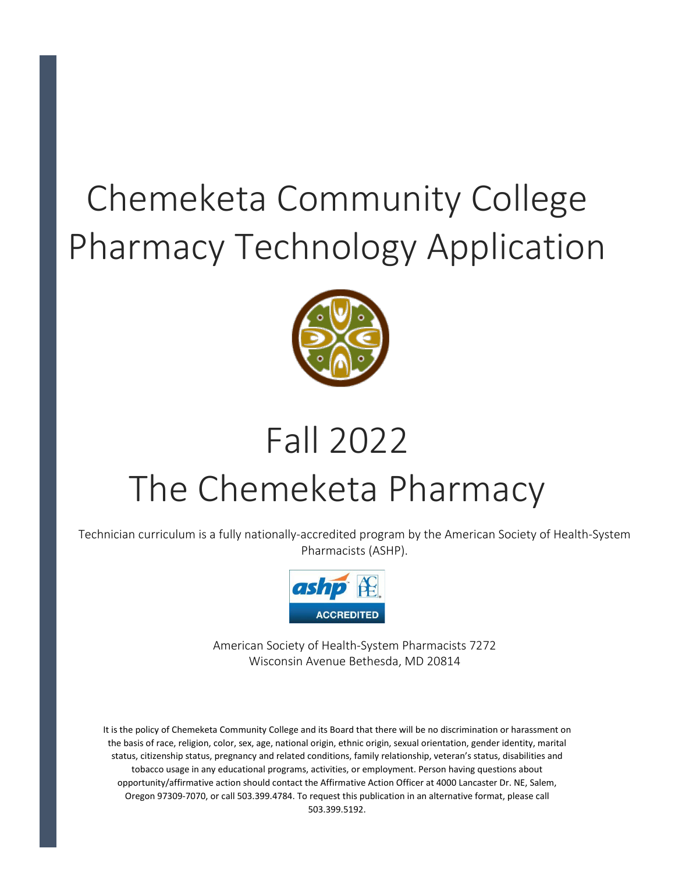# Chemeketa Community College Pharmacy Technology Application



# Fall 2022 The Chemeketa Pharmacy

Technician curriculum is a fully nationally-accredited program by the American Society of Health-System Pharmacists (ASHP).



American Society of Health-System Pharmacists 7272 Wisconsin Avenue Bethesda, MD 20814

It is the policy of Chemeketa Community College and its Board that there will be no discrimination or harassment on the basis of race, religion, color, sex, age, national origin, ethnic origin, sexual orientation, gender identity, marital status, citizenship status, pregnancy and related conditions, family relationship, veteran's status, disabilities and tobacco usage in any educational programs, activities, or employment. Person having questions about opportunity/affirmative action should contact the Affirmative Action Officer at 4000 Lancaster Dr. NE, Salem, Oregon 97309-7070, or call 503.399.4784. To request this publication in an alternative format, please call 503.399.5192.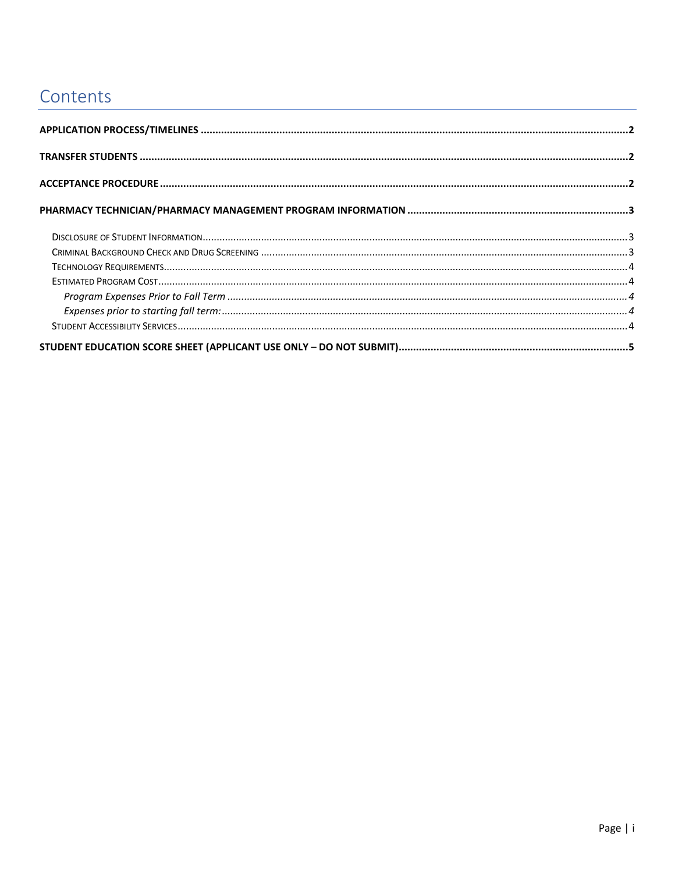# Contents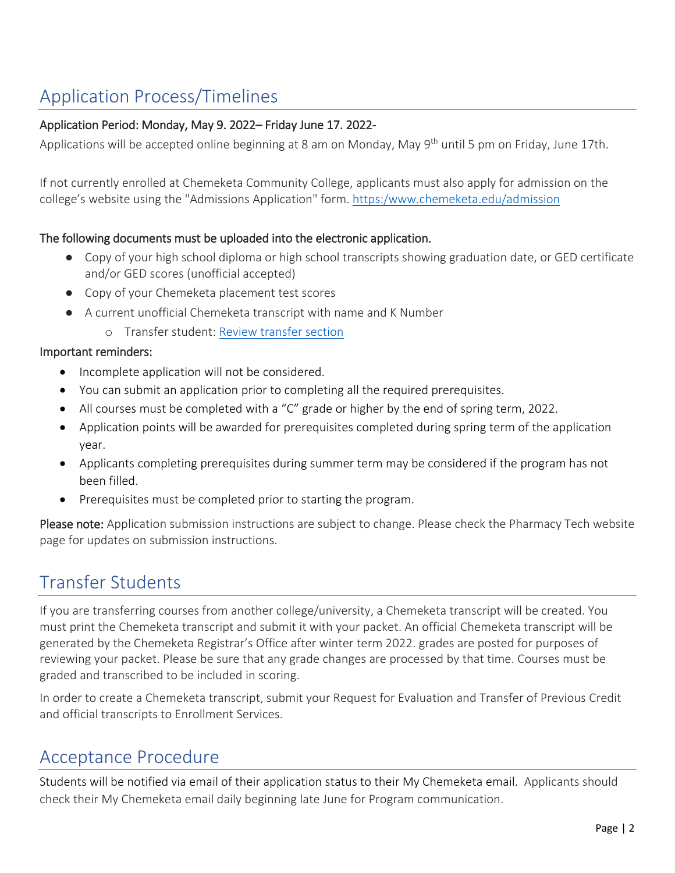# <span id="page-2-0"></span>Application Process/Timelines

#### Application Period: Monday, May 9. 2022– Friday June 17. 2022-

Applications will be accepted online beginning at 8 am on Monday, May 9<sup>th</sup> until 5 pm on Friday, June 17th.

If not currently enrolled at Chemeketa Community College, applicants must also apply for admission on the college's website using the "Admissions Application" form. [https:/www.chemeketa.edu/admission](https://www.chemeketa.edu/admission)

#### The following documents must be uploaded into the electronic application.

- Copy of your high school diploma or high school transcripts showing graduation date, or GED certificate and/or GED scores (unofficial accepted)
- Copy of your Chemeketa placement test scores
- A current unofficial Chemeketa transcript with name and K Number
	- o Transfer student: [Review transfer section](#page-2-1)

#### Important reminders:

- Incomplete application will not be considered.
- You can submit an application prior to completing all the required prerequisites.
- All courses must be completed with a "C" grade or higher by the end of spring term, 2022.
- Application points will be awarded for prerequisites completed during spring term of the application year.
- Applicants completing prerequisites during summer term may be considered if the program has not been filled.
- Prerequisites must be completed prior to starting the program.

Please note: Application submission instructions are subject to change. Please check the Pharmacy Tech website page for updates on submission instructions.

## <span id="page-2-1"></span>Transfer Students

If you are transferring courses from another college/university, a Chemeketa transcript will be created. You must print the Chemeketa transcript and submit it with your packet. An official Chemeketa transcript will be generated by the Chemeketa Registrar's Office after winter term 2022. grades are posted for purposes of reviewing your packet. Please be sure that any grade changes are processed by that time. Courses must be graded and transcribed to be included in scoring.

In order to create a Chemeketa transcript, submit your Request for Evaluation and Transfer of Previous Credit and official transcripts to Enrollment Services.

## <span id="page-2-2"></span>Acceptance Procedure

Students will be notified via email of their application status to their My Chemeketa email. Applicants should check their My Chemeketa email daily beginning late June for Program communication.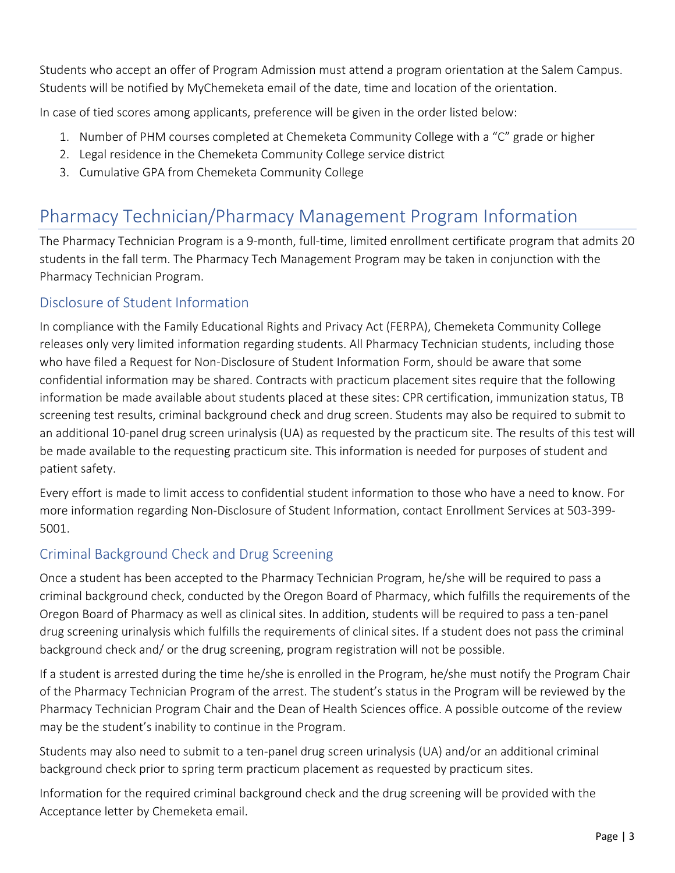Students who accept an offer of Program Admission must attend a program orientation at the Salem Campus. Students will be notified by MyChemeketa email of the date, time and location of the orientation.

In case of tied scores among applicants, preference will be given in the order listed below:

- 1. Number of PHM courses completed at Chemeketa Community College with a "C" grade or higher
- 2. Legal residence in the Chemeketa Community College service district
- 3. Cumulative GPA from Chemeketa Community College

# <span id="page-3-0"></span>Pharmacy Technician/Pharmacy Management Program Information

The Pharmacy Technician Program is a 9-month, full-time, limited enrollment certificate program that admits 20 students in the fall term. The Pharmacy Tech Management Program may be taken in conjunction with the Pharmacy Technician Program.

### <span id="page-3-1"></span>Disclosure of Student Information

In compliance with the Family Educational Rights and Privacy Act (FERPA), Chemeketa Community College releases only very limited information regarding students. All Pharmacy Technician students, including those who have filed a Request for Non-Disclosure of Student Information Form, should be aware that some confidential information may be shared. Contracts with practicum placement sites require that the following information be made available about students placed at these sites: CPR certification, immunization status, TB screening test results, criminal background check and drug screen. Students may also be required to submit to an additional 10-panel drug screen urinalysis (UA) as requested by the practicum site. The results of this test will be made available to the requesting practicum site. This information is needed for purposes of student and patient safety.

Every effort is made to limit access to confidential student information to those who have a need to know. For more information regarding Non-Disclosure of Student Information, contact Enrollment Services at 503-399- 5001.

## <span id="page-3-2"></span>Criminal Background Check and Drug Screening

Once a student has been accepted to the Pharmacy Technician Program, he/she will be required to pass a criminal background check, conducted by the Oregon Board of Pharmacy, which fulfills the requirements of the Oregon Board of Pharmacy as well as clinical sites. In addition, students will be required to pass a ten-panel drug screening urinalysis which fulfills the requirements of clinical sites. If a student does not pass the criminal background check and/ or the drug screening, program registration will not be possible.

If a student is arrested during the time he/she is enrolled in the Program, he/she must notify the Program Chair of the Pharmacy Technician Program of the arrest. The student's status in the Program will be reviewed by the Pharmacy Technician Program Chair and the Dean of Health Sciences office. A possible outcome of the review may be the student's inability to continue in the Program.

Students may also need to submit to a ten-panel drug screen urinalysis (UA) and/or an additional criminal background check prior to spring term practicum placement as requested by practicum sites.

Information for the required criminal background check and the drug screening will be provided with the Acceptance letter by Chemeketa email.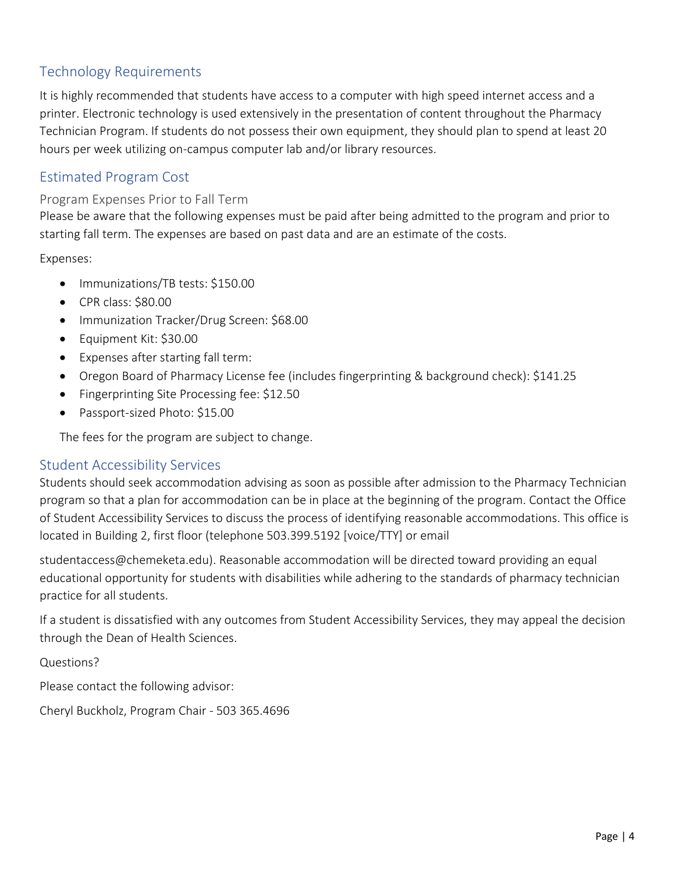## <span id="page-4-0"></span>Technology Requirements

It is highly recommended that students have access to a computer with high speed internet access and a printer. Electronic technology is used extensively in the presentation of content throughout the Pharmacy Technician Program. If students do not possess their own equipment, they should plan to spend at least 20 hours per week utilizing on-campus computer lab and/or library resources.

### <span id="page-4-1"></span>Estimated Program Cost

#### <span id="page-4-2"></span>Program Expenses Prior to Fall Term

Please be aware that the following expenses must be paid after being admitted to the program and prior to starting fall term. The expenses are based on past data and are an estimate of the costs.

<span id="page-4-3"></span>Expenses:

- Immunizations/TB tests: \$150.00
- CPR class: \$80.00
- Immunization Tracker/Drug Screen: \$68.00
- Equipment Kit: \$30.00
- Expenses after starting fall term:
- Oregon Board of Pharmacy License fee (includes fingerprinting & background check): \$141.25
- Fingerprinting Site Processing fee: \$12.50
- Passport-sized Photo: \$15.00

The fees for the program are subject to change.

#### <span id="page-4-4"></span>Student Accessibility Services

Students should seek accommodation advising as soon as possible after admission to the Pharmacy Technician program so that a plan for accommodation can be in place at the beginning of the program. Contact the Office of Student Accessibility Services to discuss the process of identifying reasonable accommodations. This office is located in Building 2, first floor (telephone 503.399.5192 [voice/TTY] or email

studentaccess@chemeketa.edu). Reasonable accommodation will be directed toward providing an equal educational opportunity for students with disabilities while adhering to the standards of pharmacy technician practice for all students.

If a student is dissatisfied with any outcomes from Student Accessibility Services, they may appeal the decision through the Dean of Health Sciences.

Questions?

Please contact the following advisor:

Cheryl Buckholz, Program Chair - 503 365.4696